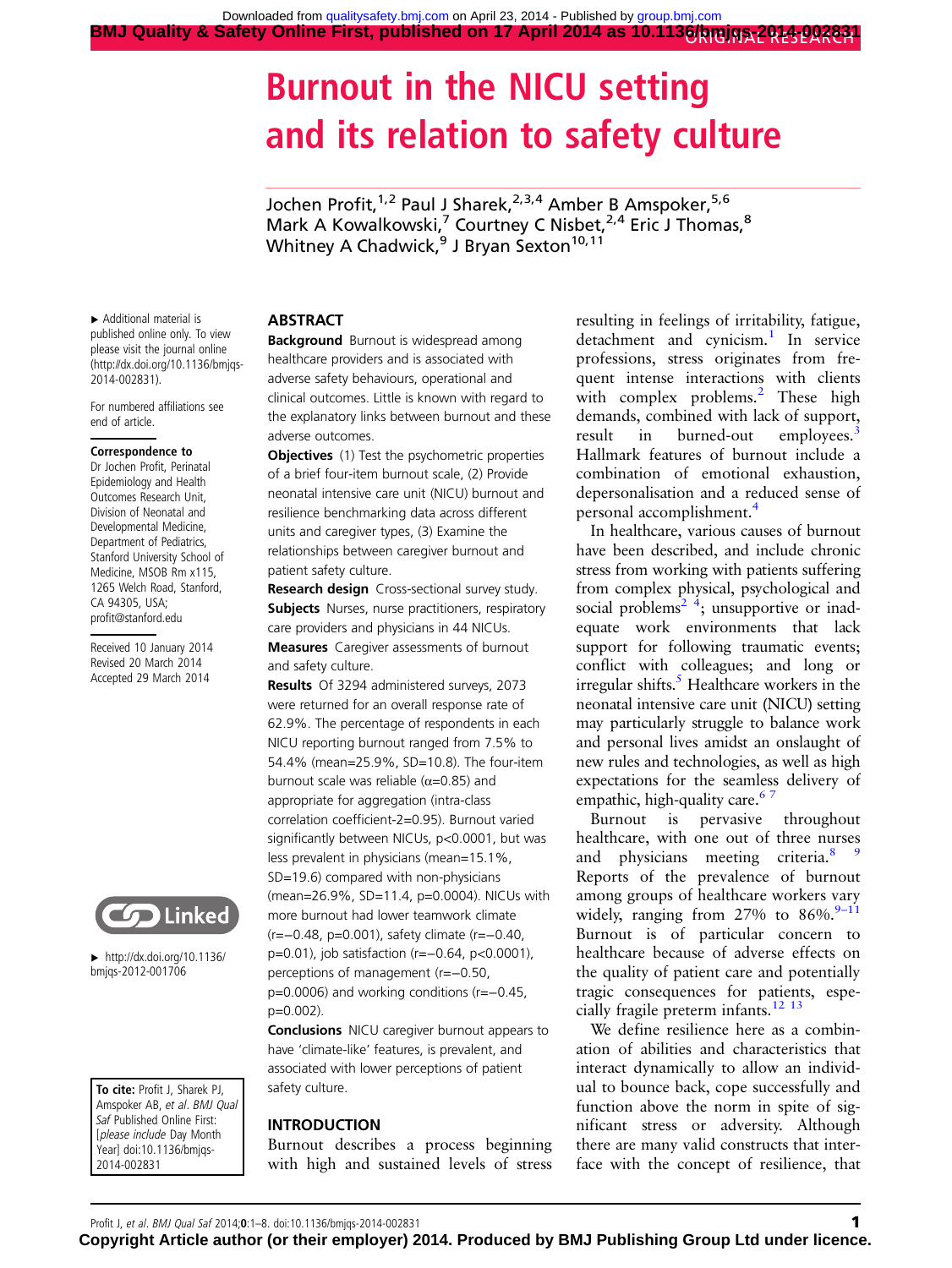# Burnout in the NICU setting and its relation to safety culture

Jochen Profit,<sup>1,2</sup> Paul J Sharek,<sup>2,3,4</sup> Amber B Amspoker,<sup>5,6</sup> Mark A Kowalkowski,<sup>7</sup> Courtney C Nisbet,<sup>2,4</sup> Eric J Thomas,<sup>8</sup> Whitney A Chadwick,<sup>9</sup> J Bryan Sexton<sup>10,11</sup>

▸ Additional material is published online only. To view please visit the journal online ([http://dx.doi.org/10.1136/bmjqs-](http://dx.doi.org/10.1136/bmjqs-2014-002831)[2014-002831](http://dx.doi.org/10.1136/bmjqs-2014-002831)).

For numbered affiliations see end of article.

#### Correspondence to

Dr Jochen Profit, Perinatal Epidemiology and Health Outcomes Research Unit, Division of Neonatal and Developmental Medicine, Department of Pediatrics, Stanford University School of Medicine, MSOB Rm x115, 1265 Welch Road, Stanford, CA 94305, USA; profit@stanford.edu

Received 10 January 2014 Revised 20 March 2014 Accepted 29 March 2014



 $\blacktriangleright$  [http://dx.doi.org/10.1136/](http://dx.doi.org/10.1136/bmjqs-2012-001706) [bmjqs-2012-001706](http://dx.doi.org/10.1136/bmjqs-2012-001706)

To cite: Profit J, Sharek PJ, Amspoker AB, et al. BMJ Qual Saf Published Online First: [please include Day Month Year] doi:10.1136/bmjqs-2014-002831

# **ABSTRACT**

**Background** Burnout is widespread among healthcare providers and is associated with adverse safety behaviours, operational and clinical outcomes. Little is known with regard to the explanatory links between burnout and these adverse outcomes.

**Objectives** (1) Test the psychometric properties of a brief four-item burnout scale, (2) Provide neonatal intensive care unit (NICU) burnout and resilience benchmarking data across different units and caregiver types, (3) Examine the relationships between caregiver burnout and patient safety culture.

Research design Cross-sectional survey study. **Subjects** Nurses, nurse practitioners, respiratory care providers and physicians in 44 NICUs. **Measures** Caregiver assessments of burnout and safety culture.

Results Of 3294 administered surveys, 2073 were returned for an overall response rate of 62.9%. The percentage of respondents in each NICU reporting burnout ranged from 7.5% to 54.4% (mean=25.9%, SD=10.8). The four-item burnout scale was reliable ( $\alpha$ =0.85) and appropriate for aggregation (intra-class correlation coefficient-2=0.95). Burnout varied significantly between NICUs, p<0.0001, but was less prevalent in physicians (mean=15.1%, SD=19.6) compared with non-physicians (mean=26.9%, SD=11.4, p=0.0004). NICUs with more burnout had lower teamwork climate (r=−0.48, p=0.001), safety climate (r=−0.40, p=0.01), job satisfaction (r=−0.64, p<0.0001), perceptions of management (r=−0.50, p=0.0006) and working conditions (r=−0.45, p=0.002).

**Conclusions** NICU caregiver burnout appears to have 'climate-like' features, is prevalent, and associated with lower perceptions of patient safety culture.

# INTRODUCTION

Burnout describes a process beginning with high and sustained levels of stress

resulting in feelings of irritability, fatigue,  $d$ etachment and cynicism.<sup>[1](#page-6-0)</sup> In service professions, stress originates from frequent intense interactions with clients with complex problems.<sup>[2](#page-6-0)</sup> These high demands, combined with lack of support, result in burned-out employees.<sup>[3](#page-6-0)</sup> Hallmark features of burnout include a combination of emotional exhaustion, depersonalisation and a reduced sense of personal accomplishment.[4](#page-6-0)

In healthcare, various causes of burnout have been described, and include chronic stress from working with patients suffering from complex physical, psychological and social problems<sup>2</sup><sup>4</sup>; unsupportive or inadequate work environments that lack support for following traumatic events; conflict with colleagues; and long or irregular shifts. $<sup>5</sup>$  Healthcare workers in the</sup> neonatal intensive care unit (NICU) setting may particularly struggle to balance work and personal lives amidst an onslaught of new rules and technologies, as well as high expectations for the seamless delivery of empathic, high-quality care. $67$ 

Burnout is pervasive throughout healthcare, with one out of three nurses and physicians meeting criteria.<sup>8</sup> Reports of the prevalence of burnout among groups of healthcare workers vary widely, ranging from 27% to  $86\%$ .  $9-11$  $9-11$ Burnout is of particular concern to healthcare because of adverse effects on the quality of patient care and potentially tragic consequences for patients, especially fragile preterm infants.<sup>12</sup><sup>13</sup>

We define resilience here as a combination of abilities and characteristics that interact dynamically to allow an individual to bounce back, cope successfully and function above the norm in spite of significant stress or adversity. Although there are many valid constructs that interface with the concept of resilience, that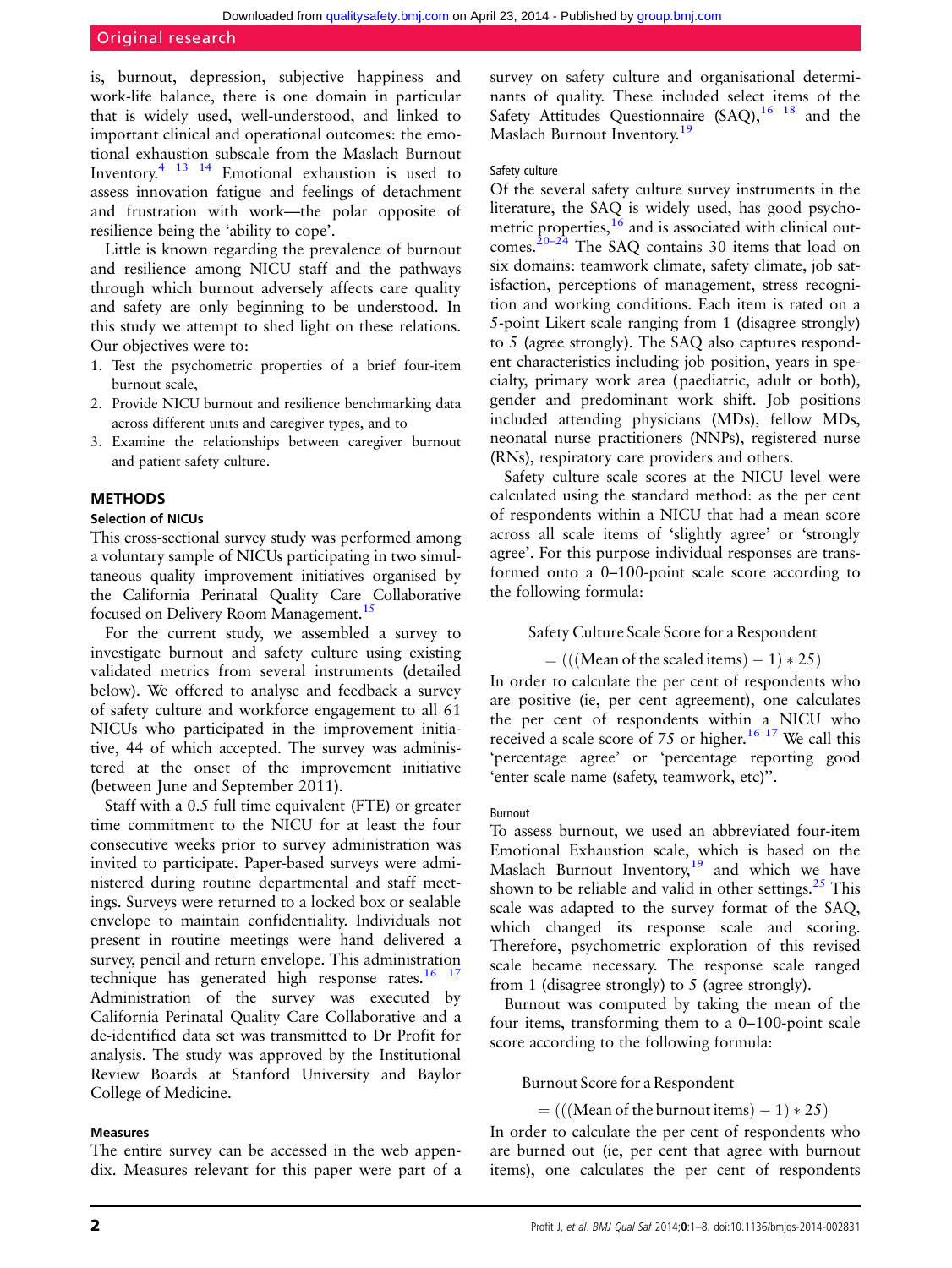# Original research

is, burnout, depression, subjective happiness and work-life balance, there is one domain in particular that is widely used, well-understood, and linked to important clinical and operational outcomes: the emotional exhaustion subscale from the Maslach Burnout Inventory.<sup>4 [13 14](#page-7-0)</sup> Emotional exhaustion is used to assess innovation fatigue and feelings of detachment and frustration with work—the polar opposite of resilience being the 'ability to cope'.

Little is known regarding the prevalence of burnout and resilience among NICU staff and the pathways through which burnout adversely affects care quality and safety are only beginning to be understood. In this study we attempt to shed light on these relations. Our objectives were to:

- 1. Test the psychometric properties of a brief four-item burnout scale,
- 2. Provide NICU burnout and resilience benchmarking data across different units and caregiver types, and to
- 3. Examine the relationships between caregiver burnout and patient safety culture.

#### **METHODS**

#### Selection of NICUs

This cross-sectional survey study was performed among a voluntary sample of NICUs participating in two simultaneous quality improvement initiatives organised by the California Perinatal Quality Care Collaborative focused on Delivery Room Management.<sup>[15](#page-7-0)</sup>

For the current study, we assembled a survey to investigate burnout and safety culture using existing validated metrics from several instruments (detailed below). We offered to analyse and feedback a survey of safety culture and workforce engagement to all 61 NICUs who participated in the improvement initiative, 44 of which accepted. The survey was administered at the onset of the improvement initiative (between June and September 2011).

Staff with a 0.5 full time equivalent (FTE) or greater time commitment to the NICU for at least the four consecutive weeks prior to survey administration was invited to participate. Paper-based surveys were administered during routine departmental and staff meetings. Surveys were returned to a locked box or sealable envelope to maintain confidentiality. Individuals not present in routine meetings were hand delivered a survey, pencil and return envelope. This administration technique has generated high response rates.<sup>16</sup> <sup>17</sup> Administration of the survey was executed by California Perinatal Quality Care Collaborative and a de-identified data set was transmitted to Dr Profit for analysis. The study was approved by the Institutional Review Boards at Stanford University and Baylor College of Medicine.

#### Measures

The entire survey can be accessed in the web appendix. Measures relevant for this paper were part of a survey on safety culture and organisational determinants of quality. These included select items of the Safety Attitudes Questionnaire  $(SAQ)$ , <sup>[16 18](#page-7-0)</sup> and the Maslach Burnout Inventory.<sup>[19](#page-7-0)</sup>

# Safety culture

Of the several safety culture survey instruments in the literature, the SAQ is widely used, has good psychometric properties,  $16$  and is associated with clinical outcomes. $20-24$  $20-24$  The SAQ contains 30 items that load on six domains: teamwork climate, safety climate, job satisfaction, perceptions of management, stress recognition and working conditions. Each item is rated on a 5-point Likert scale ranging from 1 (disagree strongly) to 5 (agree strongly). The SAQ also captures respondent characteristics including job position, years in specialty, primary work area (paediatric, adult or both), gender and predominant work shift. Job positions included attending physicians (MDs), fellow MDs, neonatal nurse practitioners (NNPs), registered nurse (RNs), respiratory care providers and others.

Safety culture scale scores at the NICU level were calculated using the standard method: as the per cent of respondents within a NICU that had a mean score across all scale items of 'slightly agree' or 'strongly agree'. For this purpose individual responses are transformed onto a 0–100-point scale score according to the following formula:

#### Safety Culture Scale Score for a Respondent

 $=$  (((Mean of the scaled items) – 1)  $*$  25)

In order to calculate the per cent of respondents who are positive (ie, per cent agreement), one calculates the per cent of respondents within a NICU who received a scale score of 75 or higher.<sup>16 17</sup> We call this 'percentage agree' or 'percentage reporting good 'enter scale name (safety, teamwork, etc)''.

#### Burnout

To assess burnout, we used an abbreviated four-item Emotional Exhaustion scale, which is based on the Maslach Burnout Inventory,<sup>19</sup> and which we have shown to be reliable and valid in other settings. $^{25}$  $^{25}$  $^{25}$  This scale was adapted to the survey format of the SAQ, which changed its response scale and scoring. Therefore, psychometric exploration of this revised scale became necessary. The response scale ranged from 1 (disagree strongly) to 5 (agree strongly).

Burnout was computed by taking the mean of the four items, transforming them to a 0–100-point scale score according to the following formula:

## Burnout Score for a Respondent

 $=$  (((Mean of the burnout items) – 1)  $*$  25) In order to calculate the per cent of respondents who are burned out (ie, per cent that agree with burnout items), one calculates the per cent of respondents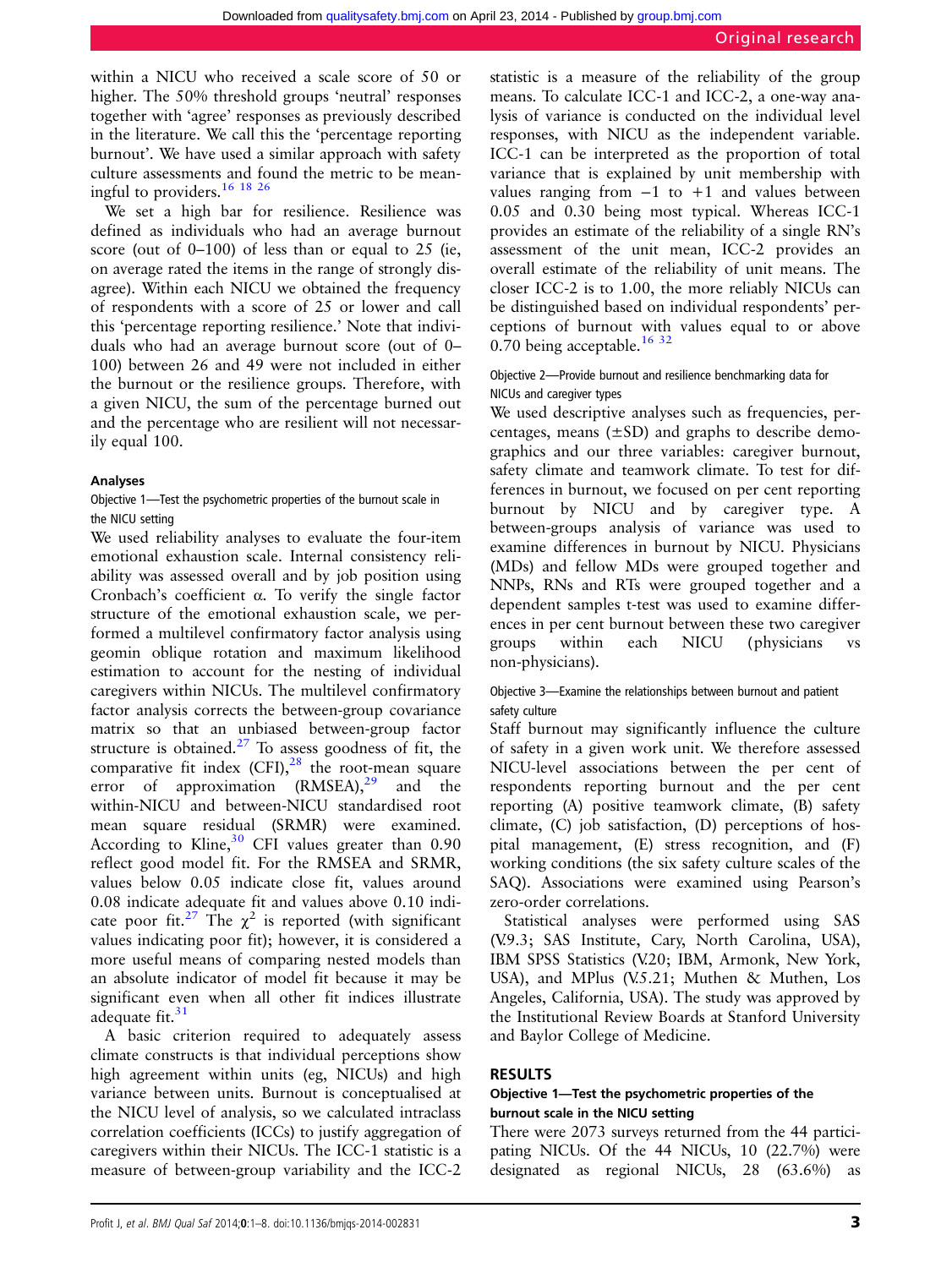within a NICU who received a scale score of 50 or higher. The 50% threshold groups 'neutral' responses together with 'agree' responses as previously described in the literature. We call this the 'percentage reporting burnout'. We have used a similar approach with safety culture assessments and found the metric to be mean-ingful to providers.<sup>[16 18 26](#page-7-0)</sup>

We set a high bar for resilience. Resilience was defined as individuals who had an average burnout score (out of 0–100) of less than or equal to 25 (ie, on average rated the items in the range of strongly disagree). Within each NICU we obtained the frequency of respondents with a score of 25 or lower and call this 'percentage reporting resilience.' Note that individuals who had an average burnout score (out of 0– 100) between 26 and 49 were not included in either the burnout or the resilience groups. Therefore, with a given NICU, the sum of the percentage burned out and the percentage who are resilient will not necessarily equal 100.

#### Analyses

#### Objective 1—Test the psychometric properties of the burnout scale in the NICU setting

We used reliability analyses to evaluate the four-item emotional exhaustion scale. Internal consistency reliability was assessed overall and by job position using Cronbach's coefficient α. To verify the single factor structure of the emotional exhaustion scale, we performed a multilevel confirmatory factor analysis using geomin oblique rotation and maximum likelihood estimation to account for the nesting of individual caregivers within NICUs. The multilevel confirmatory factor analysis corrects the between-group covariance matrix so that an unbiased between-group factor structure is obtained. $27$  To assess goodness of fit, the comparative fit index  $(CFI)$ ,  $28$  the root-mean square error of approximation  $(RMSEA)<sup>29</sup>$  $(RMSEA)<sup>29</sup>$  $(RMSEA)<sup>29</sup>$  and the within-NICU and between-NICU standardised root mean square residual (SRMR) were examined. According to Kline, $30$  CFI values greater than 0.90 reflect good model fit. For the RMSEA and SRMR, values below 0.05 indicate close fit, values around 0.08 indicate adequate fit and values above 0.10 indi-cate poor fit.<sup>[27](#page-7-0)</sup> The  $\chi^2$  is reported (with significant values indicating poor fit); however, it is considered a more useful means of comparing nested models than an absolute indicator of model fit because it may be significant even when all other fit indices illustrate adequate fit. $31$ 

A basic criterion required to adequately assess climate constructs is that individual perceptions show high agreement within units (eg, NICUs) and high variance between units. Burnout is conceptualised at the NICU level of analysis, so we calculated intraclass correlation coefficients (ICCs) to justify aggregation of caregivers within their NICUs. The ICC-1 statistic is a measure of between-group variability and the ICC-2

statistic is a measure of the reliability of the group means. To calculate ICC-1 and ICC-2, a one-way analysis of variance is conducted on the individual level responses, with NICU as the independent variable. ICC-1 can be interpreted as the proportion of total variance that is explained by unit membership with values ranging from  $-1$  to  $+1$  and values between 0.05 and 0.30 being most typical. Whereas ICC-1 provides an estimate of the reliability of a single RN's assessment of the unit mean, ICC-2 provides an overall estimate of the reliability of unit means. The closer ICC-2 is to 1.00, the more reliably NICUs can be distinguished based on individual respondents' perceptions of burnout with values equal to or above 0.70 being acceptable.<sup>[16 32](#page-7-0)</sup>

# Objective 2—Provide burnout and resilience benchmarking data for NICUs and caregiver types

We used descriptive analyses such as frequencies, percentages, means  $(\pm SD)$  and graphs to describe demographics and our three variables: caregiver burnout, safety climate and teamwork climate. To test for differences in burnout, we focused on per cent reporting burnout by NICU and by caregiver type. A between-groups analysis of variance was used to examine differences in burnout by NICU. Physicians (MDs) and fellow MDs were grouped together and NNPs, RNs and RTs were grouped together and a dependent samples t-test was used to examine differences in per cent burnout between these two caregiver groups within each NICU (physicians vs non-physicians).

#### Objective 3—Examine the relationships between burnout and patient safety culture

Staff burnout may significantly influence the culture of safety in a given work unit. We therefore assessed NICU-level associations between the per cent of respondents reporting burnout and the per cent reporting (A) positive teamwork climate, (B) safety climate, (C) job satisfaction, (D) perceptions of hospital management, (E) stress recognition, and (F) working conditions (the six safety culture scales of the SAQ). Associations were examined using Pearson's zero-order correlations.

Statistical analyses were performed using SAS (V.9.3; SAS Institute, Cary, North Carolina, USA), IBM SPSS Statistics (V.20; IBM, Armonk, New York, USA), and MPlus (V.5.21; Muthen & Muthen, Los Angeles, California, USA). The study was approved by the Institutional Review Boards at Stanford University and Baylor College of Medicine.

#### RESULTS

# Objective 1—Test the psychometric properties of the burnout scale in the NICU setting

There were 2073 surveys returned from the 44 participating NICUs. Of the 44 NICUs, 10 (22.7%) were designated as regional NICUs, 28 (63.6%) as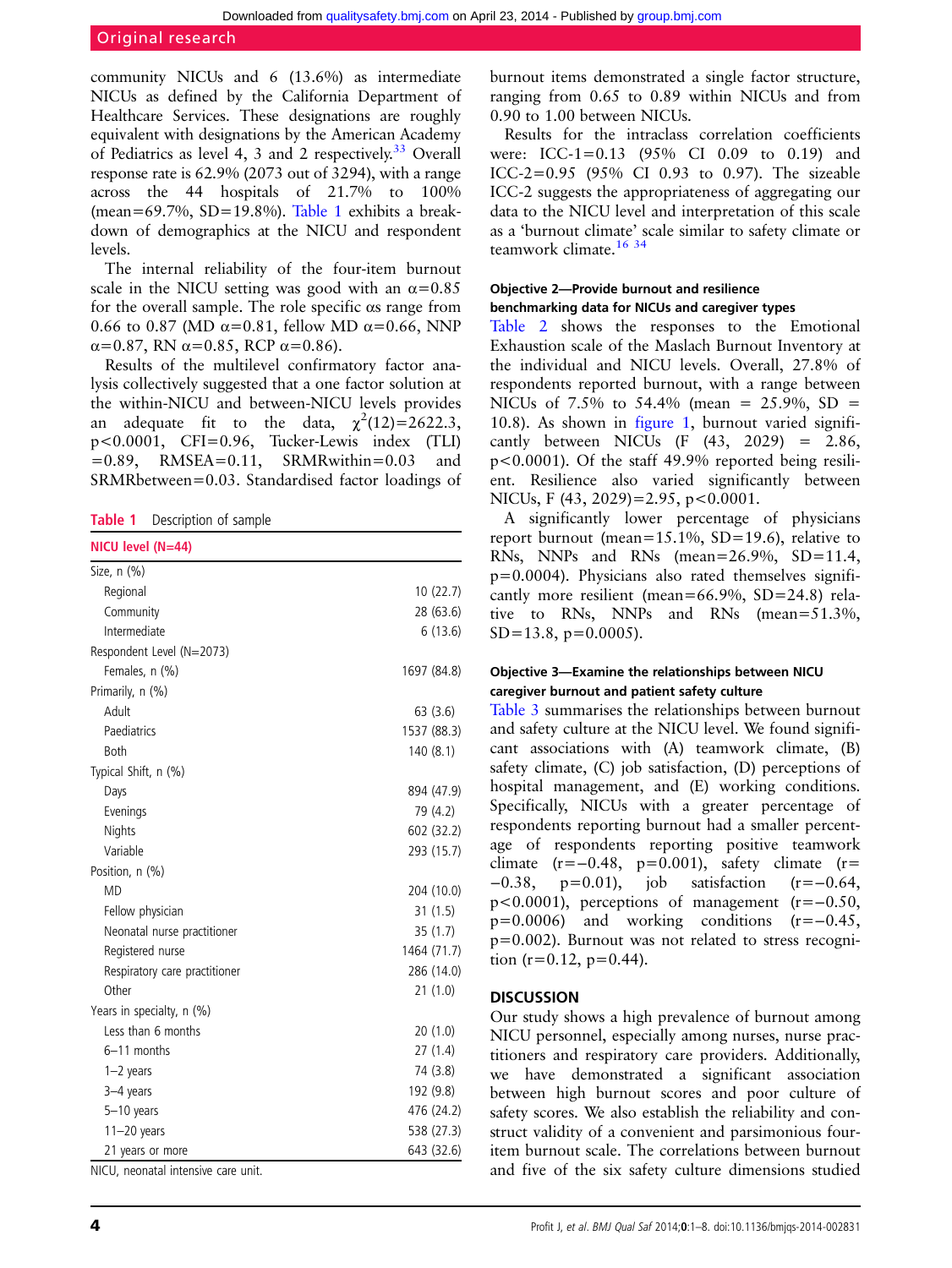#### Original research

community NICUs and 6 (13.6%) as intermediate NICUs as defined by the California Department of Healthcare Services. These designations are roughly equivalent with designations by the American Academy of Pediatrics as level 4, 3 and 2 respectively.<sup>33</sup> Overall response rate is 62.9% (2073 out of 3294), with a range across the 44 hospitals of 21.7% to 100% (mean=69.7%, SD=19.8%). Table 1 exhibits a breakdown of demographics at the NICU and respondent levels.

The internal reliability of the four-item burnout scale in the NICU setting was good with an  $\alpha$ =0.85 for the overall sample. The role specific αs range from 0.66 to 0.87 (MD  $\alpha$ =0.81, fellow MD  $\alpha$ =0.66, NNP  $\alpha$ =0.87, RN  $\alpha$ =0.85, RCP  $\alpha$ =0.86).

Results of the multilevel confirmatory factor analysis collectively suggested that a one factor solution at the within-NICU and between-NICU levels provides an adequate fit to the data,  $\chi^2(12)=2622.3$ , p<0.0001, CFI=0.96, Tucker-Lewis index (TLI)  $=0.89$ , RMSEA $=0.11$ , SRMRwithin $=0.03$  and SRMRbetween=0.03. Standardised factor loadings of

Table 1 Description of sample

| NICU level (N=44)             |             |
|-------------------------------|-------------|
| Size, n (%)                   |             |
| Regional                      | 10 (22.7)   |
| Community                     | 28 (63.6)   |
| Intermediate                  | 6(13.6)     |
| Respondent Level (N=2073)     |             |
| Females, n (%)                | 1697 (84.8) |
| Primarily, n (%)              |             |
| Adult                         | 63 (3.6)    |
| Paediatrics                   | 1537 (88.3) |
| <b>Both</b>                   | 140(8.1)    |
| Typical Shift, n (%)          |             |
| Days                          | 894 (47.9)  |
| Evenings                      | 79 (4.2)    |
| <b>Nights</b>                 | 602 (32.2)  |
| Variable                      | 293 (15.7)  |
| Position, n (%)               |             |
| <b>MD</b>                     | 204 (10.0)  |
| Fellow physician              | 31(1.5)     |
| Neonatal nurse practitioner   | 35 (1.7)    |
| Registered nurse              | 1464 (71.7) |
| Respiratory care practitioner | 286 (14.0)  |
| Other                         | 21(1.0)     |
| Years in specialty, n (%)     |             |
| Less than 6 months            | 20(1.0)     |
| 6-11 months                   | 27 (1.4)    |
| $1-2$ years                   | 74 (3.8)    |
| $3-4$ years                   | 192 (9.8)   |
| $5 - 10$ years                | 476 (24.2)  |
| $11-20$ years                 | 538 (27.3)  |
| 21 years or more              | 643 (32.6)  |

NICU, neonatal intensive care unit.

burnout items demonstrated a single factor structure, ranging from 0.65 to 0.89 within NICUs and from 0.90 to 1.00 between NICUs.

Results for the intraclass correlation coefficients were: ICC-1=0.13 (95% CI 0.09 to 0.19) and ICC-2=0.95 (95% CI 0.93 to 0.97). The sizeable ICC-2 suggests the appropriateness of aggregating our data to the NICU level and interpretation of this scale as a 'burnout climate' scale similar to safety climate or teamwork climate.<sup>[16 34](#page-7-0)</sup>

# Objective 2—Provide burnout and resilience benchmarking data for NICUs and caregiver types

[Table 2](#page-4-0) shows the responses to the Emotional Exhaustion scale of the Maslach Burnout Inventory at the individual and NICU levels. Overall, 27.8% of respondents reported burnout, with a range between NICUs of 7.5% to 54.4% (mean =  $25.9\%$ , SD = 10.8). As shown in [figure 1](#page-4-0), burnout varied significantly between NICUs  $(F (43, 2029) = 2.86,$ p<0.0001). Of the staff 49.9% reported being resilient. Resilience also varied significantly between NICUs, F (43, 2029)=2.95, p<0.0001.

A significantly lower percentage of physicians report burnout (mean=15.1%, SD=19.6), relative to RNs, NNPs and RNs (mean=26.9%, SD=11.4, p=0.0004). Physicians also rated themselves significantly more resilient (mean=66.9%, SD=24.8) relative to RNs, NNPs and RNs (mean=51.3%,  $SD=13.8$ ,  $p=0.0005$ ).

# Objective 3—Examine the relationships between NICU caregiver burnout and patient safety culture

[Table 3](#page-5-0) summarises the relationships between burnout and safety culture at the NICU level. We found significant associations with (A) teamwork climate, (B) safety climate, (C) job satisfaction, (D) perceptions of hospital management, and (E) working conditions. Specifically, NICUs with a greater percentage of respondents reporting burnout had a smaller percentage of respondents reporting positive teamwork climate  $(r=-0.48, p=0.001)$ , safety climate  $(r=$ −0.38, p=0.01), job satisfaction (r=−0.64, p<0.0001), perceptions of management (r=−0.50, p=0.0006) and working conditions (r=−0.45, p=0.002). Burnout was not related to stress recognition (r=0.12, p=0.44).

#### **DISCUSSION**

Our study shows a high prevalence of burnout among NICU personnel, especially among nurses, nurse practitioners and respiratory care providers. Additionally, we have demonstrated a significant association between high burnout scores and poor culture of safety scores. We also establish the reliability and construct validity of a convenient and parsimonious fouritem burnout scale. The correlations between burnout and five of the six safety culture dimensions studied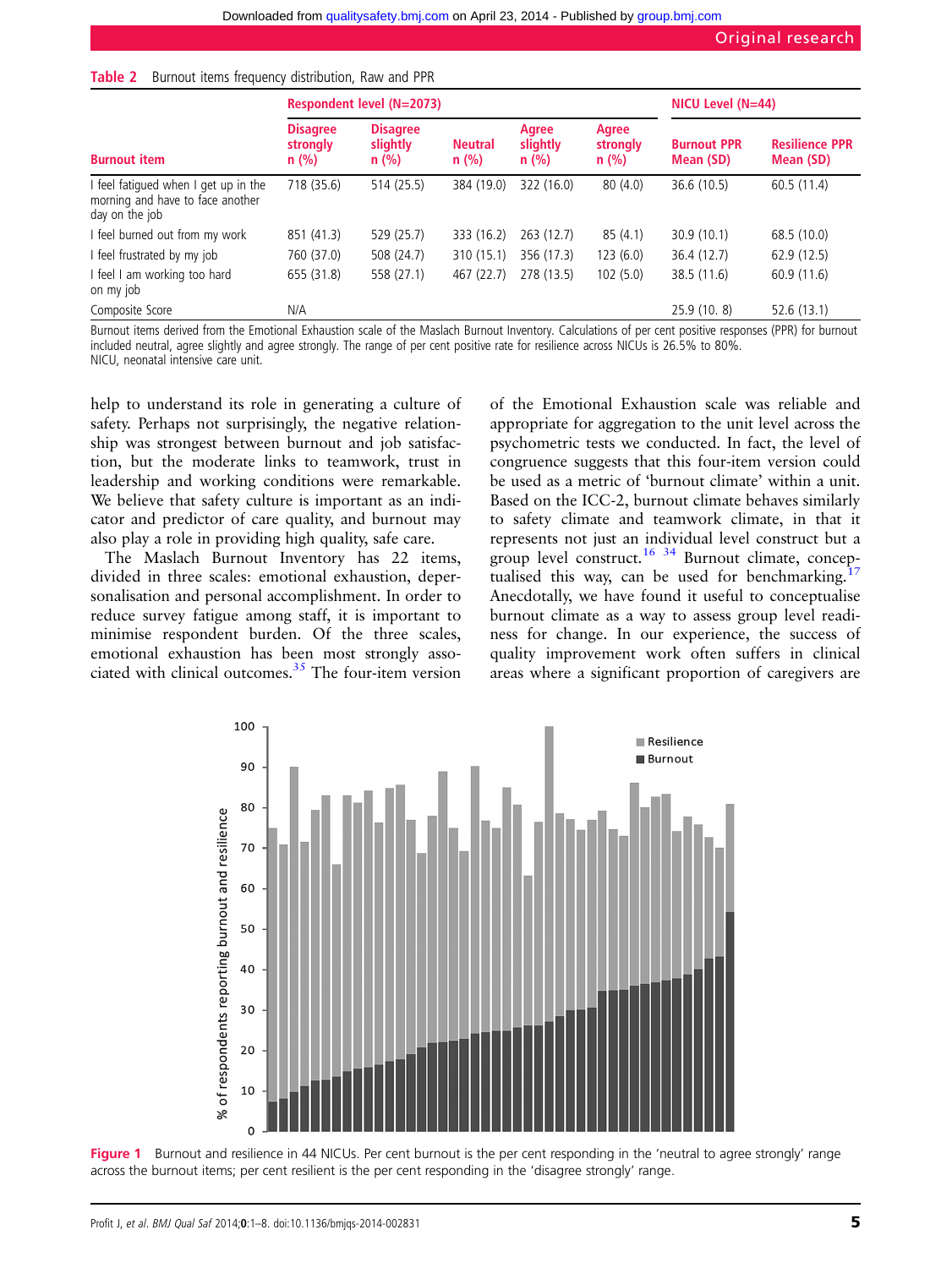<span id="page-4-0"></span>

| Table 2 | Burnout items frequency distribution, Raw and PPR |  |  |  |  |
|---------|---------------------------------------------------|--|--|--|--|
|---------|---------------------------------------------------|--|--|--|--|

|                                                                                            |                                     | Respondent level (N=2073)           | NICU Level $(N=44)$       |                           |                           |                                 |                                    |
|--------------------------------------------------------------------------------------------|-------------------------------------|-------------------------------------|---------------------------|---------------------------|---------------------------|---------------------------------|------------------------------------|
| <b>Burnout item</b>                                                                        | <b>Disagree</b><br>strongly<br>n(%) | <b>Disagree</b><br>slightly<br>n(%) | <b>Neutral</b><br>$n$ (%) | Agree<br>slightly<br>n(%) | Agree<br>strongly<br>n(%) | <b>Burnout PPR</b><br>Mean (SD) | <b>Resilience PPR</b><br>Mean (SD) |
| I feel fatigued when I get up in the<br>morning and have to face another<br>day on the job | 718 (35.6)                          | 514(25.5)                           | 384 (19.0)                | 322 (16.0)                | 80(4.0)                   | 36.6(10.5)                      | 60.5(11.4)                         |
| I feel burned out from my work                                                             | 851 (41.3)                          | 529 (25.7)                          | 333 (16.2)                | 263 (12.7)                | 85(4.1)                   | 30.9(10.1)                      | 68.5 (10.0)                        |
| I feel frustrated by my job                                                                | 760 (37.0)                          | 508 (24.7)                          | 310 (15.1)                | 356 (17.3)                | 123(6.0)                  | 36.4 (12.7)                     | 62.9(12.5)                         |
| I feel I am working too hard<br>on my job                                                  | 655 (31.8)                          | 558 (27.1)                          | 467 (22.7)                | 278 (13.5)                | 102(5.0)                  | 38.5 (11.6)                     | 60.9(11.6)                         |
| Composite Score                                                                            | N/A                                 |                                     |                           |                           |                           | 25.9(10.8)                      | 52.6(13.1)                         |
|                                                                                            |                                     |                                     |                           |                           |                           |                                 |                                    |

Burnout items derived from the Emotional Exhaustion scale of the Maslach Burnout Inventory. Calculations of per cent positive responses (PPR) for burnout included neutral, agree slightly and agree strongly. The range of per cent positive rate for resilience across NICUs is 26.5% to 80%. NICU, neonatal intensive care unit.

help to understand its role in generating a culture of safety. Perhaps not surprisingly, the negative relationship was strongest between burnout and job satisfaction, but the moderate links to teamwork, trust in leadership and working conditions were remarkable. We believe that safety culture is important as an indicator and predictor of care quality, and burnout may also play a role in providing high quality, safe care.

The Maslach Burnout Inventory has 22 items, divided in three scales: emotional exhaustion, depersonalisation and personal accomplishment. In order to reduce survey fatigue among staff, it is important to minimise respondent burden. Of the three scales, emotional exhaustion has been most strongly associated with clinical outcomes. $35$  The four-item version

of the Emotional Exhaustion scale was reliable and appropriate for aggregation to the unit level across the psychometric tests we conducted. In fact, the level of congruence suggests that this four-item version could be used as a metric of 'burnout climate' within a unit. Based on the ICC-2, burnout climate behaves similarly to safety climate and teamwork climate, in that it represents not just an individual level construct but a group level construct.<sup>[16 34](#page-7-0)</sup> Burnout climate, conceptualised this way, can be used for benchmarking.<sup>1</sup> Anecdotally, we have found it useful to conceptualise burnout climate as a way to assess group level readiness for change. In our experience, the success of quality improvement work often suffers in clinical areas where a significant proportion of caregivers are



Figure 1 Burnout and resilience in 44 NICUs. Per cent burnout is the per cent responding in the 'neutral to agree strongly' range across the burnout items; per cent resilient is the per cent responding in the 'disagree strongly' range.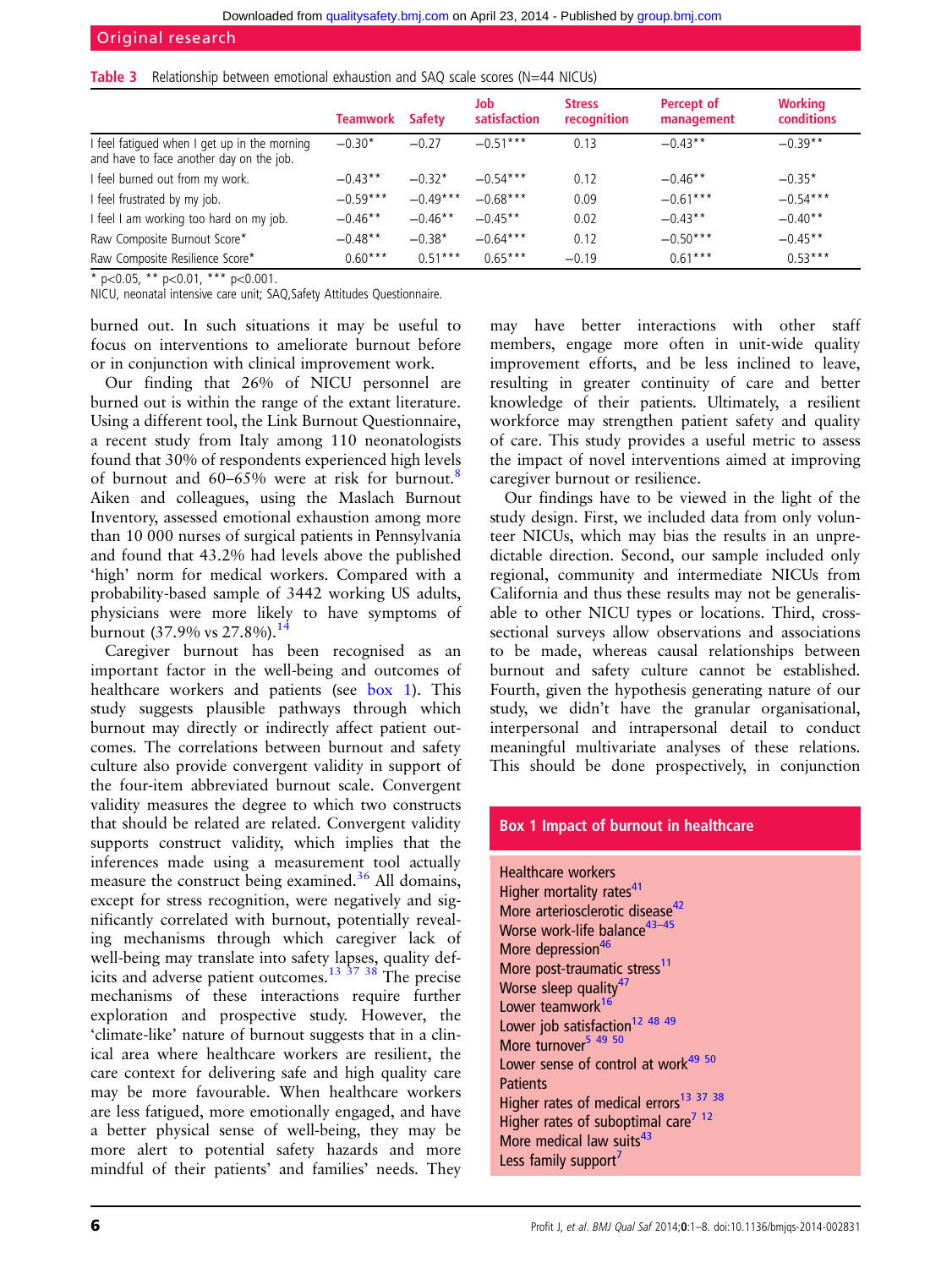<span id="page-5-0"></span>

|  |  |  |  |  |  |  | Table 3 Relationship between emotional exhaustion and SAQ scale scores (N=44 NICUs) |
|--|--|--|--|--|--|--|-------------------------------------------------------------------------------------|
|--|--|--|--|--|--|--|-------------------------------------------------------------------------------------|

|                                                                                          | Teamwork   | <b>Safety</b> | Job<br>satisfaction | <b>Stress</b><br>recognition | Percept of<br>management | <b>Working</b><br><b>conditions</b> |
|------------------------------------------------------------------------------------------|------------|---------------|---------------------|------------------------------|--------------------------|-------------------------------------|
| I feel fatigued when I get up in the morning<br>and have to face another day on the job. | $-0.30*$   | $-0.27$       | $-0.51***$          | 0.13                         | $-0.43**$                | $-0.39**$                           |
| I feel burned out from my work.                                                          | $-0.43**$  | $-0.32*$      | $-0.54***$          | 0.12                         | $-0.46**$                | $-0.35*$                            |
| I feel frustrated by my job.                                                             | $-0.59***$ | $-0.49***$    | $-0.68***$          | 0.09                         | $-0.61***$               | $-0.54***$                          |
| I feel I am working too hard on my job.                                                  | $-0.46**$  | $-0.46**$     | $-0.45**$           | 0.02                         | $-0.43**$                | $-0.40**$                           |
| Raw Composite Burnout Score*                                                             | $-0.48**$  | $-0.38*$      | $-0.64***$          | 0.12                         | $-0.50***$               | $-0.45**$                           |
| Raw Composite Resilience Score*                                                          | $0.60***$  | $0.51***$     | $0.65***$           | $-0.19$                      | $0.61***$                | $0.53***$                           |

\* p<0.05, \*\* p<0.01, \*\*\* p<0.001.

NICU, neonatal intensive care unit; SAQ,Safety Attitudes Questionnaire.

burned out. In such situations it may be useful to focus on interventions to ameliorate burnout before or in conjunction with clinical improvement work.

Our finding that 26% of NICU personnel are burned out is within the range of the extant literature. Using a different tool, the Link Burnout Questionnaire, a recent study from Italy among 110 neonatologists found that 30% of respondents experienced high levels of burnout and  $60-65\%$  were at risk for burnout.<sup>[8](#page-6-0)</sup> Aiken and colleagues, using the Maslach Burnout Inventory, assessed emotional exhaustion among more than 10 000 nurses of surgical patients in Pennsylvania and found that 43.2% had levels above the published 'high' norm for medical workers. Compared with a probability-based sample of 3442 working US adults, physicians were more likely to have symptoms of burnout  $(37.9\% \text{ vs } 27.8\%).$ <sup>[14](#page-7-0)</sup>

Caregiver burnout has been recognised as an important factor in the well-being and outcomes of healthcare workers and patients (see box 1). This study suggests plausible pathways through which burnout may directly or indirectly affect patient outcomes. The correlations between burnout and safety culture also provide convergent validity in support of the four-item abbreviated burnout scale. Convergent validity measures the degree to which two constructs that should be related are related. Convergent validity supports construct validity, which implies that the inferences made using a measurement tool actually measure the construct being examined.<sup>[36](#page-7-0)</sup> All domains, except for stress recognition, were negatively and significantly correlated with burnout, potentially revealing mechanisms through which caregiver lack of well-being may translate into safety lapses, quality deficits and adverse patient outcomes.<sup>13 37 38</sup> The precise mechanisms of these interactions require further exploration and prospective study. However, the 'climate-like' nature of burnout suggests that in a clinical area where healthcare workers are resilient, the care context for delivering safe and high quality care may be more favourable. When healthcare workers are less fatigued, more emotionally engaged, and have a better physical sense of well-being, they may be more alert to potential safety hazards and more mindful of their patients' and families' needs. They

may have better interactions with other staff members, engage more often in unit-wide quality improvement efforts, and be less inclined to leave, resulting in greater continuity of care and better knowledge of their patients. Ultimately, a resilient workforce may strengthen patient safety and quality of care. This study provides a useful metric to assess the impact of novel interventions aimed at improving caregiver burnout or resilience.

Our findings have to be viewed in the light of the study design. First, we included data from only volunteer NICUs, which may bias the results in an unpredictable direction. Second, our sample included only regional, community and intermediate NICUs from California and thus these results may not be generalisable to other NICU types or locations. Third, crosssectional surveys allow observations and associations to be made, whereas causal relationships between burnout and safety culture cannot be established. Fourth, given the hypothesis generating nature of our study, we didn't have the granular organisational, interpersonal and intrapersonal detail to conduct meaningful multivariate analyses of these relations. This should be done prospectively, in conjunction

# Box 1 Impact of burnout in healthcare

Healthcare workers Higher mortality rates<sup>[41](#page-7-0)</sup> More arteriosclerotic disease<sup>[42](#page-7-0)</sup> Worse work-life balance<sup>43-45</sup> More depression<sup>[46](#page-7-0)</sup> More post-traumatic stress<sup>[11](#page-7-0)</sup> Worse sleep quality $47$ Lower teamwork<sup>[16](#page-7-0)</sup> Lower job satisfaction<sup>[12 48 49](#page-7-0)</sup> More turnover<sup>[5](#page-6-0) [49 50](#page-7-0)</sup> Lower sense of control at work<sup>[49 50](#page-7-0)</sup> **Patients** Higher rates of medical errors<sup>[13 37 38](#page-7-0)</sup> Higher rates of suboptimal care<sup>7 [12](#page-7-0)</sup> More medical law suits<sup>43</sup> Less family support<sup>[7](#page-6-0)</sup>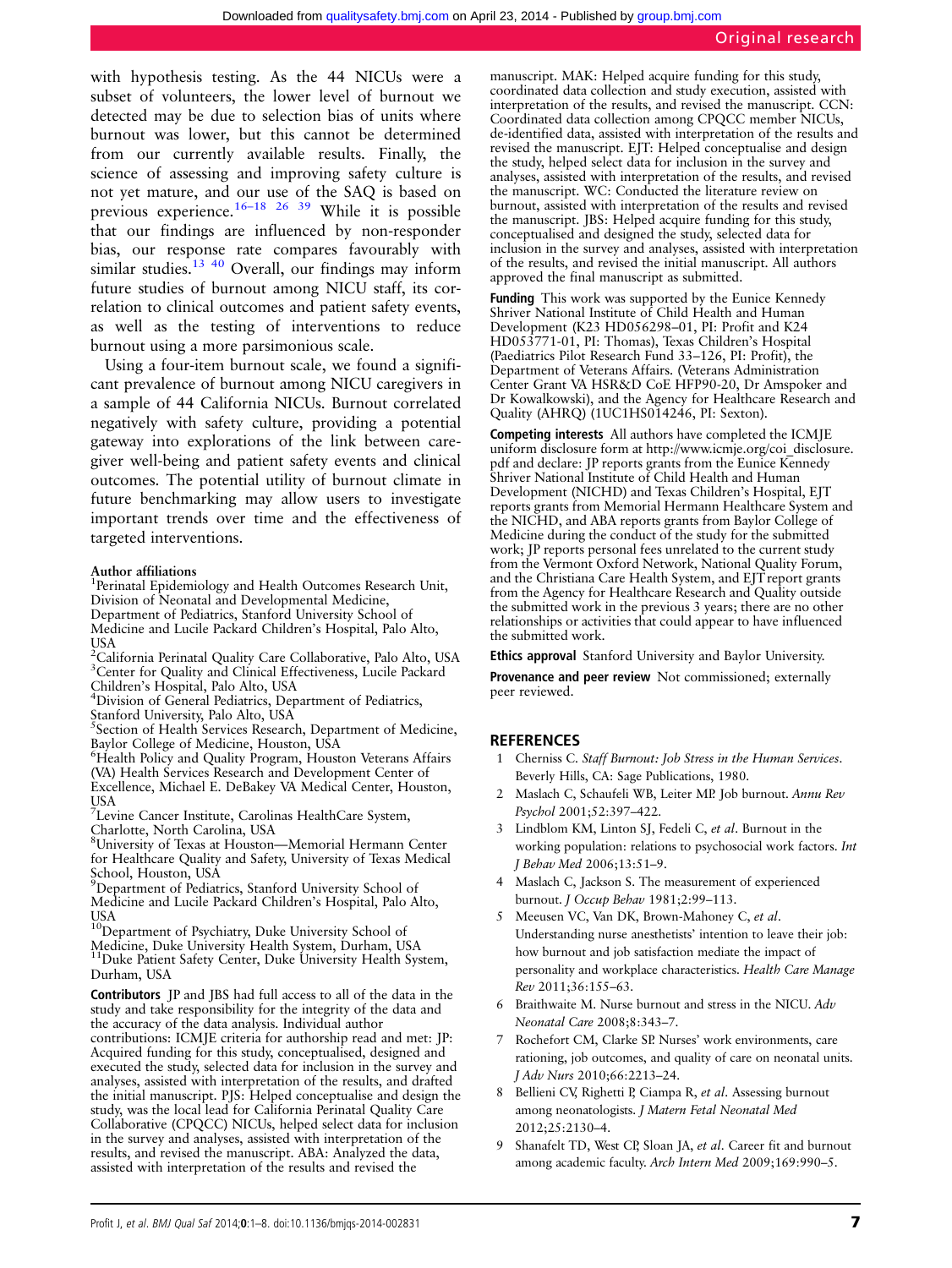<span id="page-6-0"></span>with hypothesis testing. As the 44 NICUs were a subset of volunteers, the lower level of burnout we detected may be due to selection bias of units where burnout was lower, but this cannot be determined from our currently available results. Finally, the science of assessing and improving safety culture is not yet mature, and our use of the SAQ is based on previous experience.<sup>16–[18 26 39](#page-7-0)</sup> While it is possible that our findings are influenced by non-responder bias, our response rate compares favourably with similar studies. $13\frac{40}{1}$  Overall, our findings may inform future studies of burnout among NICU staff, its correlation to clinical outcomes and patient safety events, as well as the testing of interventions to reduce burnout using a more parsimonious scale.

Using a four-item burnout scale, we found a significant prevalence of burnout among NICU caregivers in a sample of 44 California NICUs. Burnout correlated negatively with safety culture, providing a potential gateway into explorations of the link between caregiver well-being and patient safety events and clinical outcomes. The potential utility of burnout climate in future benchmarking may allow users to investigate important trends over time and the effectiveness of targeted interventions.

#### Author affiliations

<sup>1</sup>Perinatal Epidemiology and Health Outcomes Research Unit, Division of Neonatal and Developmental Medicine, Department of Pediatrics, Stanford University School of Medicine and Lucile Packard Children's Hospital, Palo Alto, USA

<sup>2</sup>California Perinatal Quality Care Collaborative, Palo Alto, USA <sup>3</sup> Center for Quality and Clinical Effectiveness, Lucile Packard

Children's Hospital, Palo Alto, USA<br><sup>4</sup>Division of General Pediatrics, Department of Pediatrics, Stanford University, Palo Alto, USA

<sup>5</sup>Section of Health Services Research, Department of Medicine, Baylor College of Medicine, Houston, USA

6 Health Policy and Quality Program, Houston Veterans Affairs (VA) Health Services Research and Development Center of Excellence, Michael E. DeBakey VA Medical Center, Houston, USA

<sup>7</sup>Levine Cancer Institute, Carolinas HealthCare System,

Charlotte, North Carolina, USA<br><sup>8</sup>University of Texas at Houston—Memorial Hermann Center for Healthcare Quality and Safety, University of Texas Medical School, Houston, USA<br><sup>9</sup>Department of Pediat

Department of Pediatrics, Stanford University School of Medicine and Lucile Packard Children's Hospital, Palo Alto,

USA<br><sup>10</sup>Department of Psychiatry, Duke University School of Medicine, Duke University Health System, Durham, USA <sup>11</sup>Duke Patient Safety Center, Duke University Health System, Durham, USA

Contributors JP and JBS had full access to all of the data in the study and take responsibility for the integrity of the data and the accuracy of the data analysis. Individual author contributions: ICMJE criteria for authorship read and met: JP: Acquired funding for this study, conceptualised, designed and executed the study, selected data for inclusion in the survey and analyses, assisted with interpretation of the results, and drafted the initial manuscript. PJS: Helped conceptualise and design the study, was the local lead for California Perinatal Quality Care Collaborative (CPQCC) NICUs, helped select data for inclusion in the survey and analyses, assisted with interpretation of the results, and revised the manuscript. ABA: Analyzed the data, assisted with interpretation of the results and revised the

manuscript. MAK: Helped acquire funding for this study, coordinated data collection and study execution, assisted with interpretation of the results, and revised the manuscript. CCN: Coordinated data collection among CPQCC member NICUs, de-identified data, assisted with interpretation of the results and revised the manuscript. EJT: Helped conceptualise and design the study, helped select data for inclusion in the survey and analyses, assisted with interpretation of the results, and revised the manuscript. WC: Conducted the literature review on burnout, assisted with interpretation of the results and revised the manuscript. JBS: Helped acquire funding for this study, conceptualised and designed the study, selected data for inclusion in the survey and analyses, assisted with interpretation of the results, and revised the initial manuscript. All authors approved the final manuscript as submitted.

Funding This work was supported by the Eunice Kennedy Shriver National Institute of Child Health and Human Development (K23 HD056298–01, PI: Profit and K24 HD053771-01, PI: Thomas), Texas Children's Hospital (Paediatrics Pilot Research Fund 33–126, PI: Profit), the Department of Veterans Affairs. (Veterans Administration Center Grant VA HSR&D CoE HFP90-20, Dr Amspoker and Dr Kowalkowski), and the Agency for Healthcare Research and Quality (AHRQ) (1UC1HS014246, PI: Sexton).

Competing interests All authors have completed the ICMJE uniform disclosure form at [http://www.icmje.org/coi\\_disclosure.](http://dx.doi.org/10.1136/bmjqs-2013-002042) [pdf](http://dx.doi.org/10.1136/bmjqs-2013-002042) and declare: JP reports grants from the Eunice Kennedy Shriver National Institute of Child Health and Human Development (NICHD) and Texas Children's Hospital, EJT reports grants from Memorial Hermann Healthcare System and the NICHD, and ABA reports grants from Baylor College of Medicine during the conduct of the study for the submitted work; JP reports personal fees unrelated to the current study from the Vermont Oxford Network, National Quality Forum, and the Christiana Care Health System, and EJT report grants from the Agency for Healthcare Research and Quality outside the submitted work in the previous 3 years; there are no other relationships or activities that could appear to have influenced the submitted work.

Ethics approval Stanford University and Baylor University.

Provenance and peer review Not commissioned; externally peer reviewed.

#### **REFERENCES**

- 1 Cherniss C. Staff Burnout: Job Stress in the Human Services. Beverly Hills, CA: Sage Publications, 1980.
- 2 Maslach C, Schaufeli WB, Leiter MP. Job burnout. Annu Rev Psychol 2001;52:397–422.
- 3 Lindblom KM, Linton SJ, Fedeli C, et al. Burnout in the working population: relations to psychosocial work factors. Int J Behav Med 2006;13:51–9.
- 4 Maslach C, Jackson S. The measurement of experienced burnout. J Occup Behav 1981;2:99–113.
- Meeusen VC, Van DK, Brown-Mahoney C, et al. Understanding nurse anesthetists' intention to leave their job: how burnout and job satisfaction mediate the impact of personality and workplace characteristics. Health Care Manage Rev 2011;36:155–63.
- 6 Braithwaite M. Nurse burnout and stress in the NICU. Adv Neonatal Care 2008;8:343–7.
- 7 Rochefort CM, Clarke SP. Nurses' work environments, care rationing, job outcomes, and quality of care on neonatal units. J Adv Nurs 2010;66:2213–24.
- 8 Bellieni CV, Righetti P, Ciampa R, et al. Assessing burnout among neonatologists. J Matern Fetal Neonatal Med 2012;25:2130–4.
- Shanafelt TD, West CP, Sloan JA, et al. Career fit and burnout among academic faculty. Arch Intern Med 2009;169:990–5.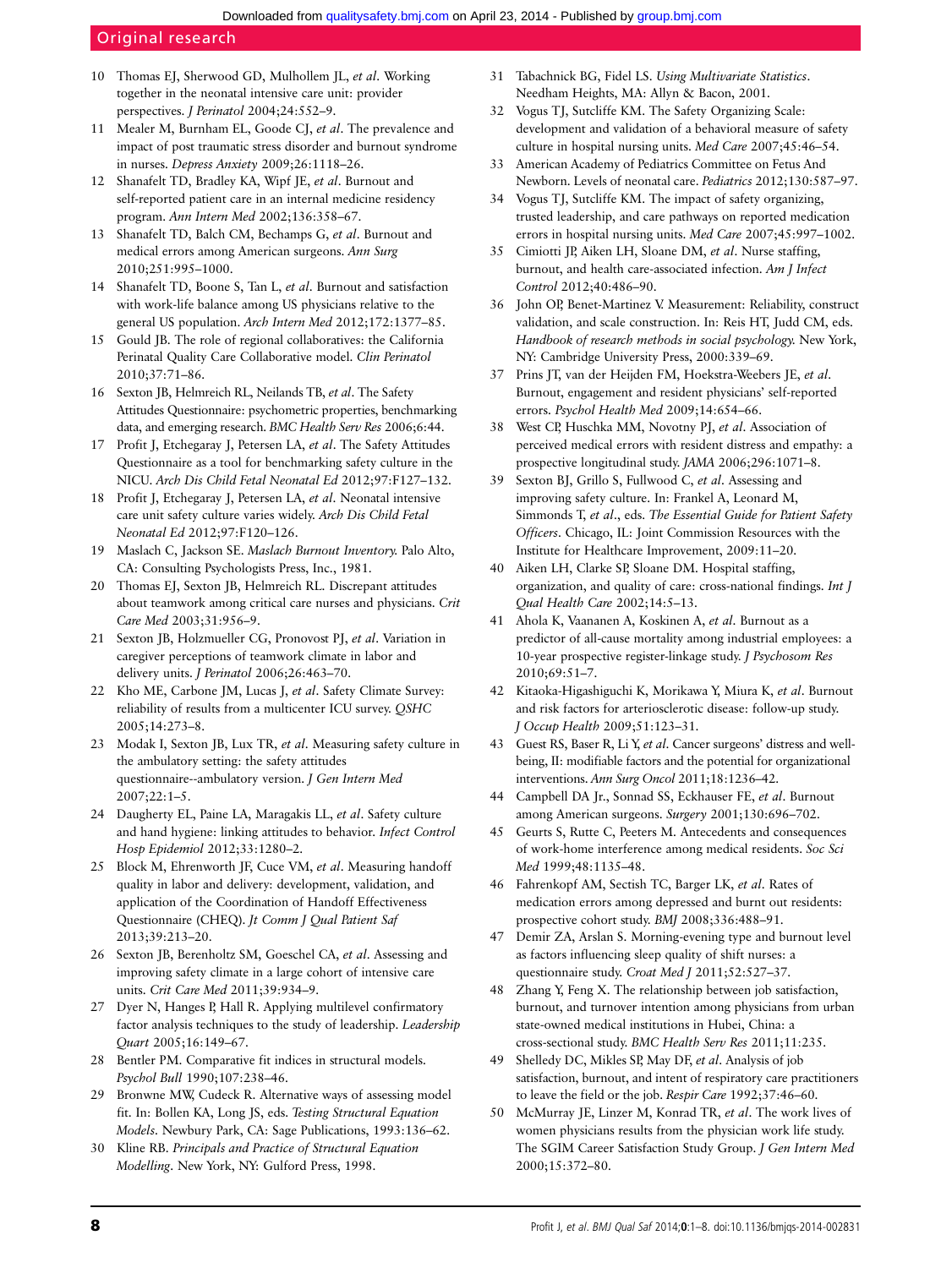# <span id="page-7-0"></span>Original research

- 10 Thomas EJ, Sherwood GD, Mulhollem JL, et al. Working together in the neonatal intensive care unit: provider perspectives. J Perinatol 2004;24:552–9.
- 11 Mealer M, Burnham EL, Goode CJ, et al. The prevalence and impact of post traumatic stress disorder and burnout syndrome in nurses. Depress Anxiety 2009;26:1118–26.
- 12 Shanafelt TD, Bradley KA, Wipf JE, et al. Burnout and self-reported patient care in an internal medicine residency program. Ann Intern Med 2002;136:358–67.
- 13 Shanafelt TD, Balch CM, Bechamps G, et al. Burnout and medical errors among American surgeons. Ann Surg 2010;251:995–1000.
- 14 Shanafelt TD, Boone S, Tan L, et al. Burnout and satisfaction with work-life balance among US physicians relative to the general US population. Arch Intern Med 2012;172:1377–85.
- 15 Gould JB. The role of regional collaboratives: the California Perinatal Quality Care Collaborative model. Clin Perinatol 2010;37:71–86.
- 16 Sexton JB, Helmreich RL, Neilands TB, et al. The Safety Attitudes Questionnaire: psychometric properties, benchmarking data, and emerging research. BMC Health Serv Res 2006;6:44.
- 17 Profit J, Etchegaray J, Petersen LA, et al. The Safety Attitudes Questionnaire as a tool for benchmarking safety culture in the NICU. Arch Dis Child Fetal Neonatal Ed 2012;97:F127–132.
- 18 Profit J, Etchegaray J, Petersen LA, et al. Neonatal intensive care unit safety culture varies widely. Arch Dis Child Fetal Neonatal Ed 2012;97:F120–126.
- 19 Maslach C, Jackson SE. Maslach Burnout Inventory. Palo Alto, CA: Consulting Psychologists Press, Inc., 1981.
- 20 Thomas EJ, Sexton JB, Helmreich RL. Discrepant attitudes about teamwork among critical care nurses and physicians. Crit Care Med 2003;31:956–9.
- 21 Sexton JB, Holzmueller CG, Pronovost PJ, et al. Variation in caregiver perceptions of teamwork climate in labor and delivery units. J Perinatol 2006;26:463-70.
- 22 Kho ME, Carbone JM, Lucas J, et al. Safety Climate Survey: reliability of results from a multicenter ICU survey. QSHC 2005;14:273–8.
- 23 Modak I, Sexton JB, Lux TR, et al. Measuring safety culture in the ambulatory setting: the safety attitudes questionnaire--ambulatory version. J Gen Intern Med 2007;22:1–5.
- 24 Daugherty EL, Paine LA, Maragakis LL, et al. Safety culture and hand hygiene: linking attitudes to behavior. Infect Control Hosp Epidemiol 2012;33:1280–2.
- 25 Block M, Ehrenworth JF, Cuce VM, et al. Measuring handoff quality in labor and delivery: development, validation, and application of the Coordination of Handoff Effectiveness Questionnaire (CHEQ). Jt Comm J Qual Patient Saf 2013;39:213–20.
- 26 Sexton JB, Berenholtz SM, Goeschel CA, et al. Assessing and improving safety climate in a large cohort of intensive care units. Crit Care Med 2011;39:934–9.
- 27 Dyer N, Hanges P, Hall R. Applying multilevel confirmatory factor analysis techniques to the study of leadership. Leadership Quart 2005;16:149–67.
- 28 Bentler PM. Comparative fit indices in structural models. Psychol Bull 1990;107:238–46.
- 29 Bronwne MW, Cudeck R. Alternative ways of assessing model fit. In: Bollen KA, Long JS, eds. Testing Structural Equation Models. Newbury Park, CA: Sage Publications, 1993:136–62.
- 30 Kline RB. Principals and Practice of Structural Equation Modelling. New York, NY: Gulford Press, 1998.
- 31 Tabachnick BG, Fidel LS. Using Multivariate Statistics. Needham Heights, MA: Allyn & Bacon, 2001.
- 32 Vogus TJ, Sutcliffe KM. The Safety Organizing Scale: development and validation of a behavioral measure of safety culture in hospital nursing units. Med Care 2007;45:46–54.
- 33 American Academy of Pediatrics Committee on Fetus And Newborn. Levels of neonatal care. Pediatrics 2012;130:587–97.
- 34 Vogus TJ, Sutcliffe KM. The impact of safety organizing, trusted leadership, and care pathways on reported medication errors in hospital nursing units. Med Care 2007;45:997–1002.
- 35 Cimiotti JP, Aiken LH, Sloane DM, et al. Nurse staffing, burnout, and health care-associated infection. Am J Infect Control 2012;40:486–90.
- 36 John OP, Benet-Martinez V. Measurement: Reliability, construct validation, and scale construction. In: Reis HT, Judd CM, eds. Handbook of research methods in social psychology. New York, NY: Cambridge University Press, 2000:339–69.
- 37 Prins JT, van der Heijden FM, Hoekstra-Weebers JE, et al. Burnout, engagement and resident physicians' self-reported errors. Psychol Health Med 2009;14:654–66.
- 38 West CP, Huschka MM, Novotny PJ, et al. Association of perceived medical errors with resident distress and empathy: a prospective longitudinal study. JAMA 2006;296:1071–8.
- 39 Sexton BJ, Grillo S, Fullwood C, et al. Assessing and improving safety culture. In: Frankel A, Leonard M, Simmonds T, et al., eds. The Essential Guide for Patient Safety Officers. Chicago, IL: Joint Commission Resources with the Institute for Healthcare Improvement, 2009:11–20.
- 40 Aiken LH, Clarke SP, Sloane DM. Hospital staffing, organization, and quality of care: cross-national findings. Int J Qual Health Care 2002;14:5–13.
- 41 Ahola K, Vaananen A, Koskinen A, et al. Burnout as a predictor of all-cause mortality among industrial employees: a 10-year prospective register-linkage study. J Psychosom Res 2010;69:51–7.
- 42 Kitaoka-Higashiguchi K, Morikawa Y, Miura K, et al. Burnout and risk factors for arteriosclerotic disease: follow-up study. J Occup Health 2009;51:123–31.
- 43 Guest RS, Baser R, Li Y, et al. Cancer surgeons' distress and wellbeing, II: modifiable factors and the potential for organizational interventions. Ann Surg Oncol 2011;18:1236–42.
- 44 Campbell DA Jr., Sonnad SS, Eckhauser FE, et al. Burnout among American surgeons. Surgery 2001;130:696–702.
- 45 Geurts S, Rutte C, Peeters M. Antecedents and consequences of work-home interference among medical residents. Soc Sci Med 1999;48:1135–48.
- 46 Fahrenkopf AM, Sectish TC, Barger LK, et al. Rates of medication errors among depressed and burnt out residents: prospective cohort study. BMJ 2008;336:488–91.
- 47 Demir ZA, Arslan S. Morning-evening type and burnout level as factors influencing sleep quality of shift nurses: a questionnaire study. Croat Med J 2011;52:527-37.
- 48 Zhang Y, Feng X. The relationship between job satisfaction, burnout, and turnover intention among physicians from urban state-owned medical institutions in Hubei, China: a cross-sectional study. BMC Health Serv Res 2011;11:235.
- Shelledy DC, Mikles SP, May DF, et al. Analysis of job satisfaction, burnout, and intent of respiratory care practitioners to leave the field or the job. Respir Care 1992;37:46–60.
- 50 McMurray JE, Linzer M, Konrad TR, et al. The work lives of women physicians results from the physician work life study. The SGIM Career Satisfaction Study Group. J Gen Intern Med 2000;15:372–80.